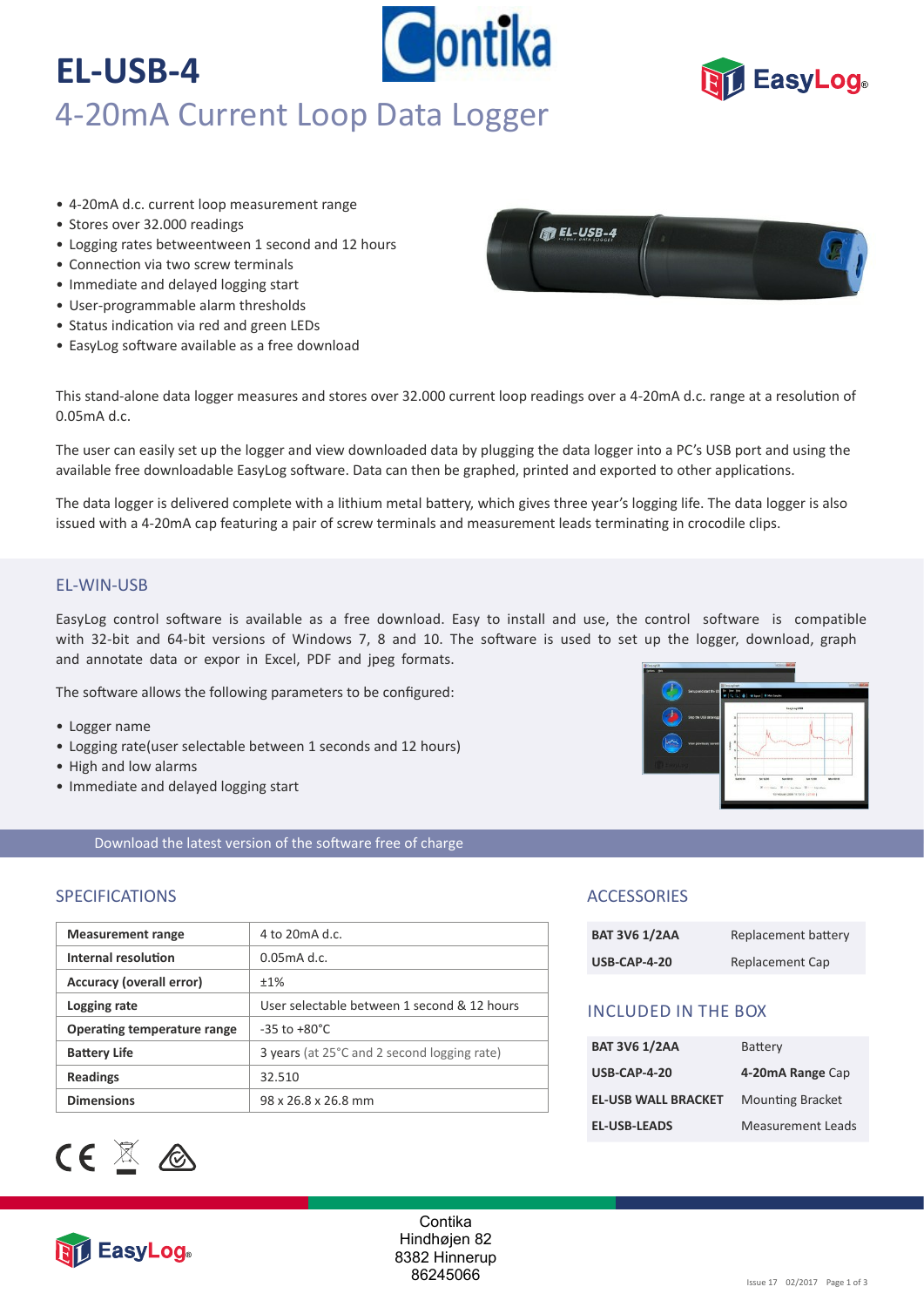# Contika **EL-USB-4** 4-20mA Current Loop Data Logger



- 4-20mA d.c. current loop measurement range
- Stores over 32.000 readings
- Logging rates betweentween 1 second and 12 hours
- Connection via two screw terminals
- Immediate and delayed logging start
- User-programmable alarm thresholds
- Status indication via red and green LEDs
- EasyLog software available as a free download



This stand-alone data logger measures and stores over 32.000 current loop readings over a 4-20mA d.c. range at a resolution of 0.05mA d.c.

The user can easily set up the logger and view downloaded data by plugging the data logger into a PC's USB port and using the available free downloadable EasyLog software. Data can then be graphed, printed and exported to other applications.

The data logger is delivered complete with a lithium metal battery, which gives three year's logging life. The data logger is also issued with a 4-20mA cap featuring a pair of screw terminals and measurement leads terminating in crocodile clips.

### EL‐WIN‐USB

EasyLog control software is available as a free download. Easy to install and use, the control software is compatible with 32-bit and 64-bit versions of Windows 7, 8 and 10. The software is used to set up the logger, download, graph and annotate data or expor in Excel, PDF and jpeg formats.

The software allows the following parameters to be configured:

- Logger name
- Logging rate(user selectable between 1 seconds and 12 hours)
- High and low alarms
- Immediate and delayed logging start

Download the latest version of the software free of charge

### SPECIFICATIONS

| <b>Measurement range</b>    | 4 to $20 \text{mA}$ d.c.                    |
|-----------------------------|---------------------------------------------|
| Internal resolution         | $0.05$ m $A$ d.c.                           |
| Accuracy (overall error)    | $+1%$                                       |
| Logging rate                | User selectable between 1 second & 12 hours |
| Operating temperature range | $-35$ to $+80^{\circ}$ C                    |
| <b>Battery Life</b>         | 3 years (at 25°C and 2 second logging rate) |
| <b>Readings</b>             | 32.510                                      |
| <b>Dimensions</b>           | 98 x 26.8 x 26.8 mm                         |



## **ACCESSORIES**

| <b>BAT 3V6 1/2AA</b> | Replacement battery |
|----------------------|---------------------|
| <b>USB-CAP-4-20</b>  | Replacement Cap     |

## INCLUDED IN THE BOX

| <b>BAT 3V6 1/2AA</b>       | Battery                  |
|----------------------------|--------------------------|
| <b>USB-CAP-4-20</b>        | 4-20mA Range Cap         |
| <b>EL-USB WALL BRACKET</b> | <b>Mounting Bracket</b>  |
| <b>EL-USB-LEADS</b>        | <b>Measurement Leads</b> |



Contika Hindhøjen 82 8382 Hinnerup 86245066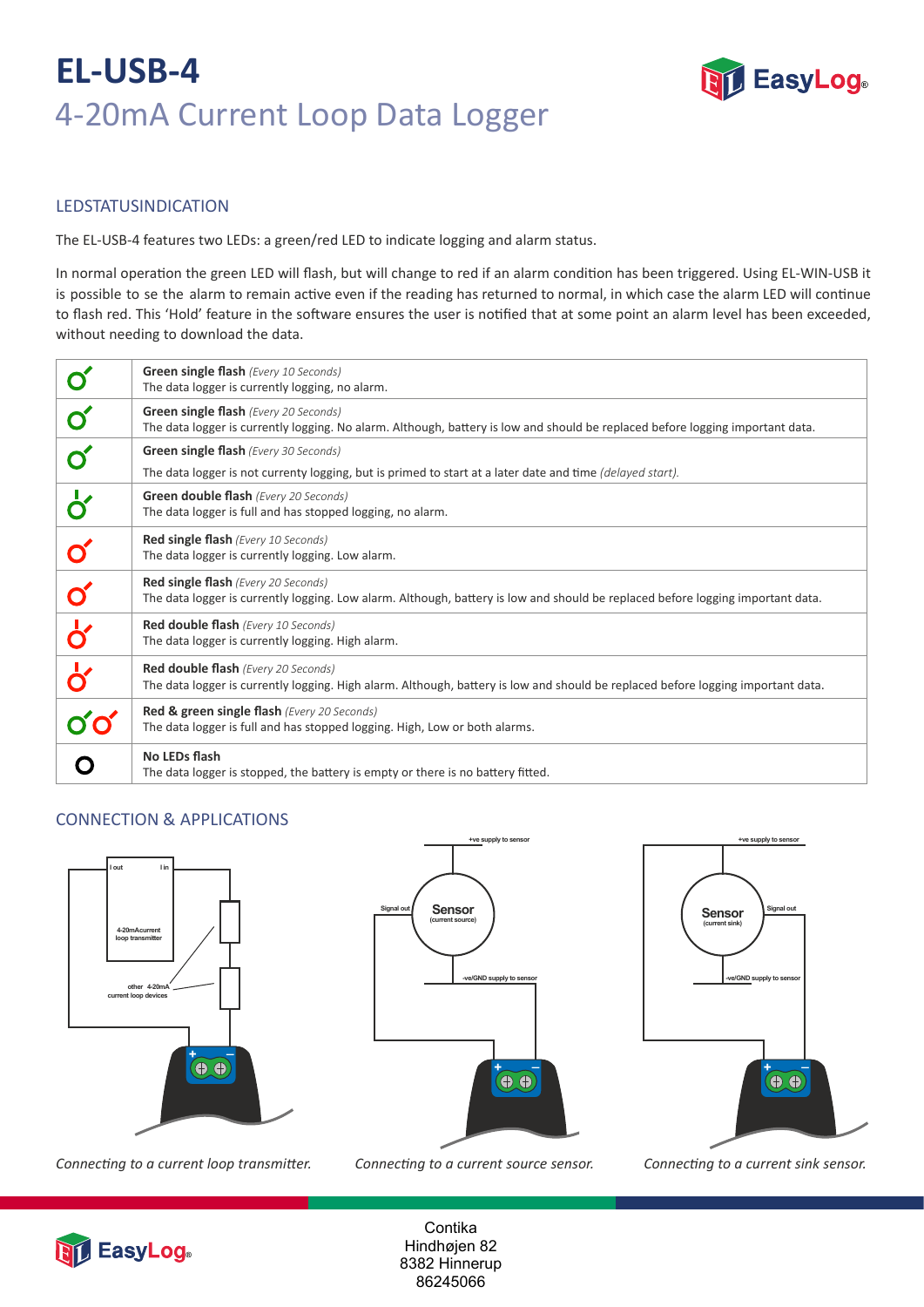# **EL-USB-4** 4-20mA Current Loop Data Logger



# **LEDSTATUS INDICATION**

The EL‐USB‐4 features two LEDs: a green/red LED to indicate logging and alarm status.

In normal operation the green LED will flash, but will change to red if an alarm condition has been triggered. Using EL-WIN-USB it is possible to se the alarm to remain active even if the reading has returned to normal, in which case the alarm LED will continue to flash red. This 'Hold' feature in the software ensures the user is notified that at some point an alarm level has been exceeded, without needing to download the data.

|                                 | <b>Green single flash</b> (Every 10 Seconds)<br>The data logger is currently logging, no alarm.                                                                               |
|---------------------------------|-------------------------------------------------------------------------------------------------------------------------------------------------------------------------------|
|                                 | Green single flash (Every 20 Seconds)<br>The data logger is currently logging. No alarm. Although, battery is low and should be replaced before logging important data.       |
|                                 | <b>Green single flash</b> (Every 30 Seconds)                                                                                                                                  |
|                                 | The data logger is not currenty logging, but is primed to start at a later date and time (delayed start).                                                                     |
| $\overline{\mathsf{d}}$         | <b>Green double flash</b> (Every 20 Seconds)<br>The data logger is full and has stopped logging, no alarm.                                                                    |
|                                 | <b>Red single flash</b> (Every 10 Seconds)<br>The data logger is currently logging. Low alarm.                                                                                |
|                                 | <b>Red single flash</b> (Every 20 Seconds)<br>The data logger is currently logging. Low alarm. Although, battery is low and should be replaced before logging important data. |
| $\frac{1}{\mathbf{b}^{\prime}}$ | <b>Red double flash</b> (Every 10 Seconds)<br>The data logger is currently logging. High alarm.                                                                               |
| $\overline{\mathbf{b}'}$        | <b>Red double flash</b> (Every 20 Seconds)                                                                                                                                    |
|                                 | The data logger is currently logging. High alarm. Although, battery is low and should be replaced before logging important data.                                              |
|                                 | Red & green single flash (Every 20 Seconds)<br>The data logger is full and has stopped logging. High, Low or both alarms.                                                     |
|                                 | No LEDs flash<br>The data logger is stopped, the battery is empty or there is no battery fitted.                                                                              |

# CONNECTION & APPLICATIONS



*Connec�ng to a current loop transmi�er. Connec�ng to a current source sensor. Connec�ng to a current sink sensor.*



**+ve supply to sensor** 





**Contika** Hindhøjen 82 8382 Hinnerup 86245066